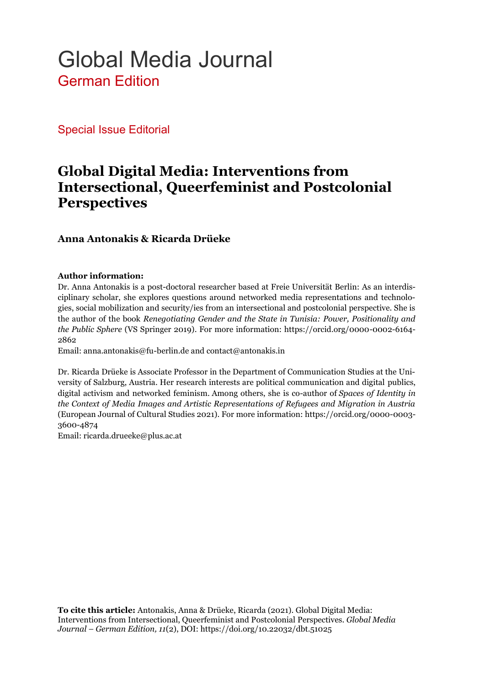# Global Media Journal German Edition

Special Issue Editorial

## **Global Digital Media: Interventions from Intersectional, Queerfeminist and Postcolonial Perspectives**

#### **Anna Antonakis & Ricarda Drüeke**

#### **Author information:**

Dr. Anna Antonakis is a post-doctoral researcher based at Freie Universität Berlin: As an interdisciplinary scholar, she explores questions around networked media representations and technologies, social mobilization and security/ies from an intersectional and postcolonial perspective. She is the author of the book *Renegotiating Gender and the State in Tunisia: Power, Positionality and the Public Sphere* (VS Springer 2019). For more information: https://orcid.org/0000-0002-6164- 2862

Email: anna.antonakis@fu-berlin.de and contact@antonakis.in

Dr. Ricarda Drüeke is Associate Professor in the Department of Communication Studies at the University of Salzburg, Austria. Her research interests are political communication and digital publics, digital activism and networked feminism. Among others, she is co-author of *Spaces of Identity in the Context of Media Images and Artistic Representations of Refugees and Migration in Austria* (European Journal of Cultural Studies 2021). For more information: https://orcid.org/0000-0003- 3600-4874

Email: ricarda.drueeke@plus.ac.at

**To cite this article:** Antonakis, Anna & Drüeke, Ricarda (2021). Global Digital Media: Interventions from Intersectional, Queerfeminist and Postcolonial Perspectives. *Global Media Journal – German Edition, 11*(2), DOI: https://doi.org/10.22032/dbt.51025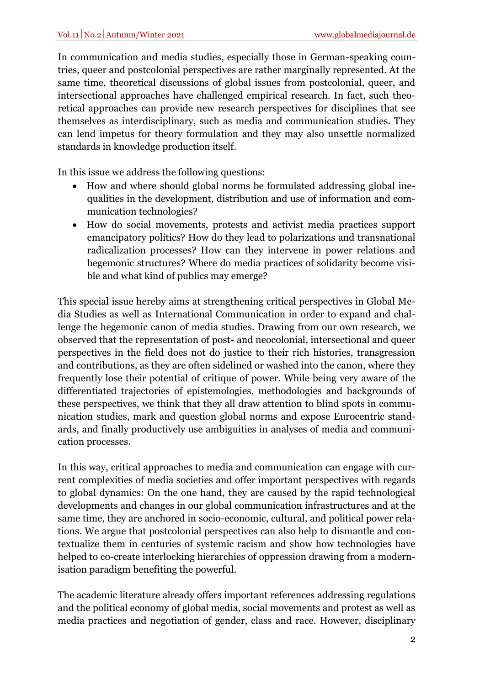In communication and media studies, especially those in German-speaking countries, queer and postcolonial perspectives are rather marginally represented. At the same time, theoretical discussions of global issues from postcolonial, queer, and intersectional approaches have challenged empirical research. In fact, such theoretical approaches can provide new research perspectives for disciplines that see themselves as interdisciplinary, such as media and communication studies. They can lend impetus for theory formulation and they may also unsettle normalized standards in knowledge production itself.

In this issue we address the following questions:

- How and where should global norms be formulated addressing global inequalities in the development, distribution and use of information and communication technologies?
- How do social movements, protests and activist media practices support emancipatory politics? How do they lead to polarizations and transnational radicalization processes? How can they intervene in power relations and hegemonic structures? Where do media practices of solidarity become visible and what kind of publics may emerge?

This special issue hereby aims at strengthening critical perspectives in Global Media Studies as well as International Communication in order to expand and challenge the hegemonic canon of media studies. Drawing from our own research, we observed that the representation of post- and neocolonial, intersectional and queer perspectives in the field does not do justice to their rich histories, transgression and contributions, as they are often sidelined or washed into the canon, where they frequently lose their potential of critique of power. While being very aware of the differentiated trajectories of epistemologies, methodologies and backgrounds of these perspectives, we think that they all draw attention to blind spots in communication studies, mark and question global norms and expose Eurocentric standards, and finally productively use ambiguities in analyses of media and communication processes.

In this way, critical approaches to media and communication can engage with current complexities of media societies and offer important perspectives with regards to global dynamics: On the one hand, they are caused by the rapid technological developments and changes in our global communication infrastructures and at the same time, they are anchored in socio-economic, cultural, and political power relations. We argue that postcolonial perspectives can also help to dismantle and contextualize them in centuries of systemic racism and show how technologies have helped to co-create interlocking hierarchies of oppression drawing from a modernisation paradigm benefiting the powerful.

The academic literature already offers important references addressing regulations and the political economy of global media, social movements and protest as well as media practices and negotiation of gender, class and race. However, disciplinary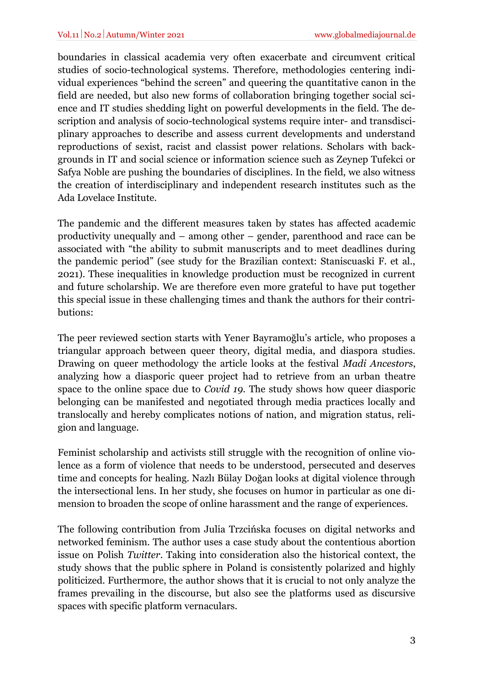boundaries in classical academia very often exacerbate and circumvent critical studies of socio-technological systems. Therefore, methodologies centering individual experiences "behind the screen" and queering the quantitative canon in the field are needed, but also new forms of collaboration bringing together social science and IT studies shedding light on powerful developments in the field. The description and analysis of socio-technological systems require inter- and transdisciplinary approaches to describe and assess current developments and understand reproductions of sexist, racist and classist power relations. Scholars with backgrounds in IT and social science or information science such as Zeynep Tufekci or Safya Noble are pushing the boundaries of disciplines. In the field, we also witness the creation of interdisciplinary and independent research institutes such as the Ada Lovelace Institute.

The pandemic and the different measures taken by states has affected academic productivity unequally and – among other – gender, parenthood and race can be associated with "the ability to submit manuscripts and to meet deadlines during the pandemic period" (see study for the Brazilian context: Staniscuaski F. et al., 2021). These inequalities in knowledge production must be recognized in current and future scholarship. We are therefore even more grateful to have put together this special issue in these challenging times and thank the authors for their contributions:

The peer reviewed section starts with Yener Bayramoğlu's article, who proposes a triangular approach between queer theory, digital media, and diaspora studies. Drawing on queer methodology the article looks at the festival *Madi Ancestors*, analyzing how a diasporic queer project had to retrieve from an urban theatre space to the online space due to *Covid 19*. The study shows how queer diasporic belonging can be manifested and negotiated through media practices locally and translocally and hereby complicates notions of nation, and migration status, religion and language.

Feminist scholarship and activists still struggle with the recognition of online violence as a form of violence that needs to be understood, persecuted and deserves time and concepts for healing. Nazlı Bülay Doğan looks at digital violence through the intersectional lens. In her study, she focuses on humor in particular as one dimension to broaden the scope of online harassment and the range of experiences.

The following contribution from Julia Trzcińska focuses on digital networks and networked feminism. The author uses a case study about the contentious abortion issue on Polish *Twitter*. Taking into consideration also the historical context, the study shows that the public sphere in Poland is consistently polarized and highly politicized. Furthermore, the author shows that it is crucial to not only analyze the frames prevailing in the discourse, but also see the platforms used as discursive spaces with specific platform vernaculars.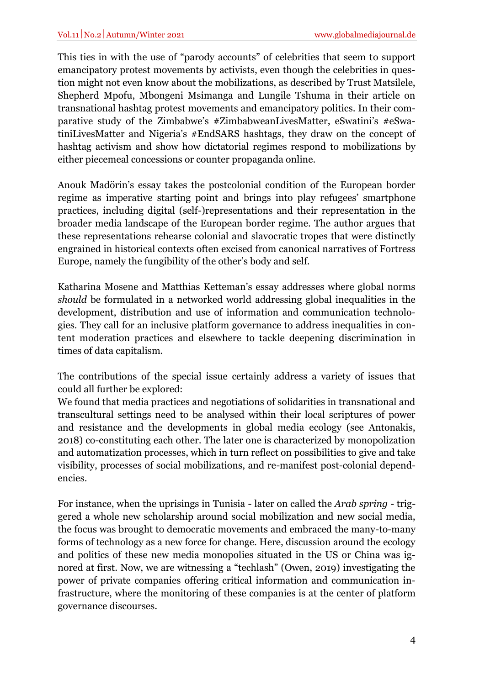This ties in with the use of "parody accounts" of celebrities that seem to support emancipatory protest movements by activists, even though the celebrities in question might not even know about the mobilizations, as described by Trust Matsilele, Shepherd Mpofu, Mbongeni Msimanga and Lungile Tshuma in their article on transnational hashtag protest movements and emancipatory politics. In their comparative study of the Zimbabwe's #ZimbabweanLivesMatter, eSwatini's #eSwatiniLivesMatter and Nigeria's #EndSARS hashtags, they draw on the concept of hashtag activism and show how dictatorial regimes respond to mobilizations by either piecemeal concessions or counter propaganda online.

Anouk Madörin's essay takes the postcolonial condition of the European border regime as imperative starting point and brings into play refugees' smartphone practices, including digital (self-)representations and their representation in the broader media landscape of the European border regime. The author argues that these representations rehearse colonial and slavocratic tropes that were distinctly engrained in historical contexts often excised from canonical narratives of Fortress Europe, namely the fungibility of the other's body and self.

Katharina Mosene and Matthias Ketteman's essay addresses where global norms *should* be formulated in a networked world addressing global inequalities in the development, distribution and use of information and communication technologies. They call for an inclusive platform governance to address inequalities in content moderation practices and elsewhere to tackle deepening discrimination in times of data capitalism.

The contributions of the special issue certainly address a variety of issues that could all further be explored:

We found that media practices and negotiations of solidarities in transnational and transcultural settings need to be analysed within their local scriptures of power and resistance and the developments in global media ecology (see Antonakis, 2018) co-constituting each other. The later one is characterized by monopolization and automatization processes, which in turn reflect on possibilities to give and take visibility, processes of social mobilizations, and re-manifest post-colonial dependencies.

For instance, when the uprisings in Tunisia - later on called the *Arab spring* - triggered a whole new scholarship around social mobilization and new social media, the focus was brought to democratic movements and embraced the many-to-many forms of technology as a new force for change. Here, discussion around the ecology and politics of these new media monopolies situated in the US or China was ignored at first. Now, we are witnessing a "techlash" (Owen, 2019) investigating the power of private companies offering critical information and communication infrastructure, where the monitoring of these companies is at the center of platform governance discourses.